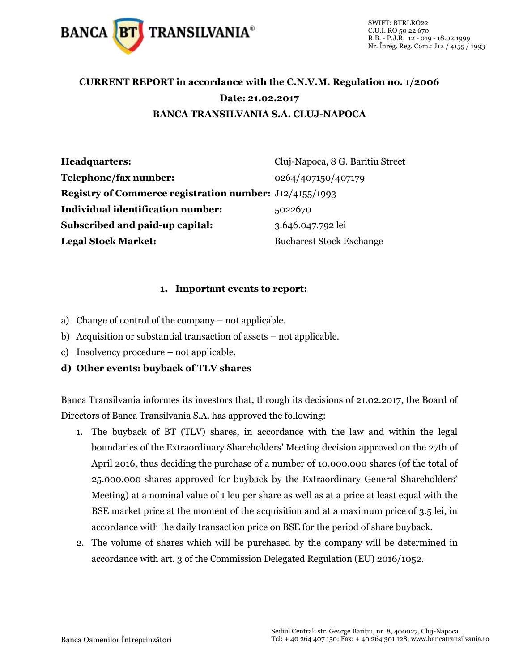

## **CURRENT REPORT in accordance with the C.N.V.M. Regulation no. 1/2006 Date: 21.02.2017 BANCA TRANSILVANIA S.A. CLUJ-NAPOCA**

| Headquarters:                                                  | Cluj-Napoca, 8 G. Baritiu Street |
|----------------------------------------------------------------|----------------------------------|
| Telephone/fax number:                                          | 0264/407150/407179               |
| <b>Registry of Commerce registration number:</b> J12/4155/1993 |                                  |
| <b>Individual identification number:</b>                       | 5022670                          |
| <b>Subscribed and paid-up capital:</b>                         | 3.646.047.792 lei                |
| <b>Legal Stock Market:</b>                                     | <b>Bucharest Stock Exchange</b>  |

## **1. Important events to report:**

- a) Change of control of the company not applicable.
- b) Acquisition or substantial transaction of assets not applicable.
- c) Insolvency procedure not applicable.
- **d) Other events: buyback of TLV shares**

Banca Transilvania informes its investors that, through its decisions of 21.02.2017, the Board of Directors of Banca Transilvania S.A. has approved the following:

- 1. The buyback of BT (TLV) shares, in accordance with the law and within the legal boundaries of the Extraordinary Shareholders' Meeting decision approved on the 27th of April 2016, thus deciding the purchase of a number of 10.000.000 shares (of the total of 25.000.000 shares approved for buyback by the Extraordinary General Shareholders' Meeting) at a nominal value of 1 leu per share as well as at a price at least equal with the BSE market price at the moment of the acquisition and at a maximum price of 3.5 lei, in accordance with the daily transaction price on BSE for the period of share buyback.
- 2. The volume of shares which will be purchased by the company will be determined in accordance with art. 3 of the Commission Delegated Regulation (EU) 2016/1052.